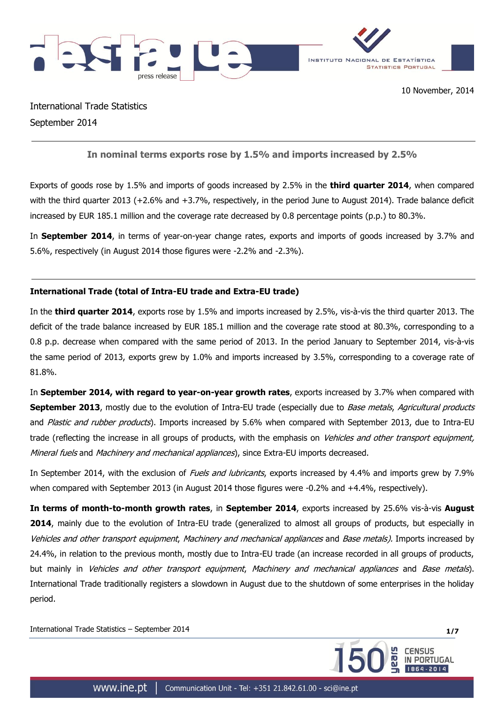

International Trade Statistics September 2014

**In nominal terms exports rose by 1.5% and imports increased by 2.5%**

Exports of goods rose by 1.5% and imports of goods increased by 2.5% in the **third quarter 2014**, when compared with the third quarter 2013 (+2.6% and +3.7%, respectively, in the period June to August 2014). Trade balance deficit increased by EUR 185.1 million and the coverage rate decreased by 0.8 percentage points (p.p.) to 80.3%.

In **September 2014**, in terms of year-on-year change rates, exports and imports of goods increased by 3.7% and 5.6%, respectively (in August 2014 those figures were -2.2% and -2.3%).

# **International Trade (total of Intra-EU trade and Extra-EU trade)**

In the **third quarter 2014**, exports rose by 1.5% and imports increased by 2.5%, vis-à-vis the third quarter 2013. The deficit of the trade balance increased by EUR 185.1 million and the coverage rate stood at 80.3%, corresponding to a 0.8 p.p. decrease when compared with the same period of 2013. In the period January to September 2014, vis-à-vis the same period of 2013, exports grew by 1.0% and imports increased by 3.5%, corresponding to a coverage rate of 81.8%.

In **September 2014, with regard to year-on-year growth rates**, exports increased by 3.7% when compared with **September 2013**, mostly due to the evolution of Intra-EU trade (especially due to *Base metals, Agricultural products* and Plastic and rubber products). Imports increased by 5.6% when compared with September 2013, due to Intra-EU trade (reflecting the increase in all groups of products, with the emphasis on Vehicles and other transport equipment, Mineral fuels and Machinery and mechanical appliances), since Extra-EU imports decreased.

In September 2014, with the exclusion of *Fuels and lubricants*, exports increased by 4.4% and imports grew by 7.9% when compared with September 2013 (in August 2014 those figures were -0.2% and +4.4%, respectively).

**In terms of month-to-month growth rates**, in **September 2014**, exports increased by 25.6% vis-à-vis **August 2014**, mainly due to the evolution of Intra-EU trade (generalized to almost all groups of products, but especially in Vehicles and other transport equipment, Machinery and mechanical appliances and Base metals). Imports increased by 24.4%, in relation to the previous month, mostly due to Intra-EU trade (an increase recorded in all groups of products, but mainly in Vehicles and other transport equipment, Machinery and mechanical appliances and Base metals). International Trade traditionally registers a slowdown in August due to the shutdown of some enterprises in the holiday period.

International Trade Statistics – September 2014 **1/7**

**CENSUS** 

PORTUGAL

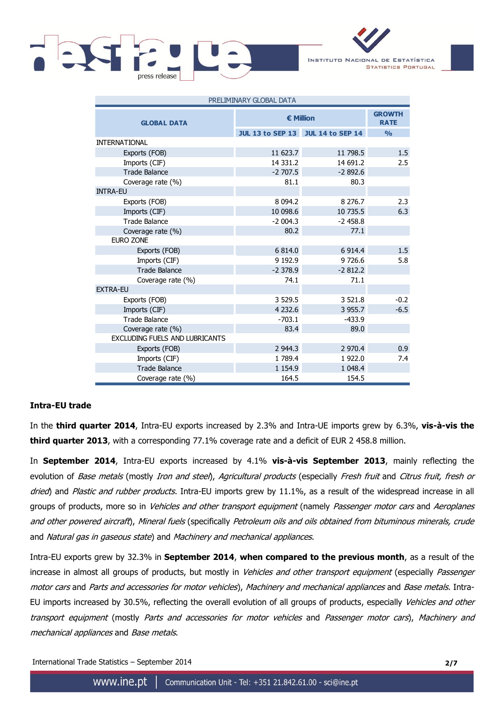

INSTITUTO NACIONAL DE ESTATÍSTICA **STATISTICS PORTUGAL** 

| PRELIMINARY GLOBAL DATA               |                  |                                   |               |  |  |  |
|---------------------------------------|------------------|-----------------------------------|---------------|--|--|--|
| <b>GLOBAL DATA</b>                    | <b>€ Million</b> | <b>GROWTH</b><br><b>RATE</b>      |               |  |  |  |
|                                       |                  | JUL 13 to SEP 13 JUL 14 to SEP 14 | $\frac{0}{0}$ |  |  |  |
| <b>INTERNATIONAL</b>                  |                  |                                   |               |  |  |  |
| Exports (FOB)                         | 11 623.7         | 11 798.5                          | 1.5           |  |  |  |
| Imports (CIF)                         | 14 3 3 1.2       | 14 691.2                          | 2.5           |  |  |  |
| <b>Trade Balance</b>                  | $-2707.5$        | $-2892.6$                         |               |  |  |  |
| Coverage rate (%)                     | 81.1             | 80.3                              |               |  |  |  |
| <b>INTRA-EU</b>                       |                  |                                   |               |  |  |  |
| Exports (FOB)                         | 8 0 9 4.2        | 8 2 7 6 . 7                       | 2.3           |  |  |  |
| Imports (CIF)                         | 10 098.6         | 10 735.5                          | 6.3           |  |  |  |
| <b>Trade Balance</b>                  | $-2004.3$        | $-2458.8$                         |               |  |  |  |
| Coverage rate (%)                     | 80.2             | 77.1                              |               |  |  |  |
| <b>EURO ZONE</b>                      |                  |                                   |               |  |  |  |
| Exports (FOB)                         | 6 814.0          | 6 9 14.4                          | 1.5           |  |  |  |
| Imports (CIF)                         | 9 1 9 2.9        | 9726.6                            | 5.8           |  |  |  |
| <b>Trade Balance</b>                  | $-2378.9$        | $-2812.2$                         |               |  |  |  |
| Coverage rate (%)                     | 74.1             | 71.1                              |               |  |  |  |
| <b>EXTRA-EU</b>                       |                  |                                   |               |  |  |  |
| Exports (FOB)                         | 3 5 2 9.5        | 3 5 2 1 . 8                       | $-0.2$        |  |  |  |
| Imports (CIF)                         | 4 2 3 2.6        | 3 9 5 5 . 7                       | $-6.5$        |  |  |  |
| Trade Balance                         | $-703.1$         | $-433.9$                          |               |  |  |  |
| Coverage rate (%)                     | 83.4             | 89.0                              |               |  |  |  |
| <b>EXCLUDING FUELS AND LUBRICANTS</b> |                  |                                   |               |  |  |  |
| Exports (FOB)                         | 2 944.3          | 2 970.4                           | 0.9           |  |  |  |
| Imports (CIF)                         | 1789.4           | 1922.0                            | 7.4           |  |  |  |
| <b>Trade Balance</b>                  | 1 1 5 4 . 9      | 1 048.4                           |               |  |  |  |
| Coverage rate (%)                     | 164.5            | 154.5                             |               |  |  |  |

## **Intra-EU trade**

In the **third quarter 2014**, Intra-EU exports increased by 2.3% and Intra-UE imports grew by 6.3%, **vis-à-vis the third quarter 2013**, with a corresponding 77.1% coverage rate and a deficit of EUR 2 458.8 million.

In **September 2014**, Intra-EU exports increased by 4.1% **vis-à-vis September 2013**, mainly reflecting the evolution of *Base metals* (mostly *Iron and steel), Agricultural products* (especially *Fresh fruit* and *Citrus fruit, fresh or* dried) and Plastic and rubber products. Intra-EU imports grew by 11.1%, as a result of the widespread increase in all groups of products, more so in *Vehicles and other transport equipment* (namely *Passenger motor cars* and Aeroplanes and other powered aircraft), Mineral fuels (specifically Petroleum oils and oils obtained from bituminous minerals, crude and Natural gas in gaseous state) and Machinery and mechanical appliances.

Intra-EU exports grew by 32.3% in **September 2014**, **when compared to the previous month**, as a result of the increase in almost all groups of products, but mostly in *Vehicles and other transport equipment* (especially *Passenger* motor cars and Parts and accessories for motor vehicles), Machinery and mechanical appliances and Base metals. Intra-EU imports increased by 30.5%, reflecting the overall evolution of all groups of products, especially Vehicles and other transport equipment (mostly Parts and accessories for motor vehicles and Passenger motor cars), Machinery and mechanical appliances and Base metals.

International Trade Statistics – September 2014 **2/7**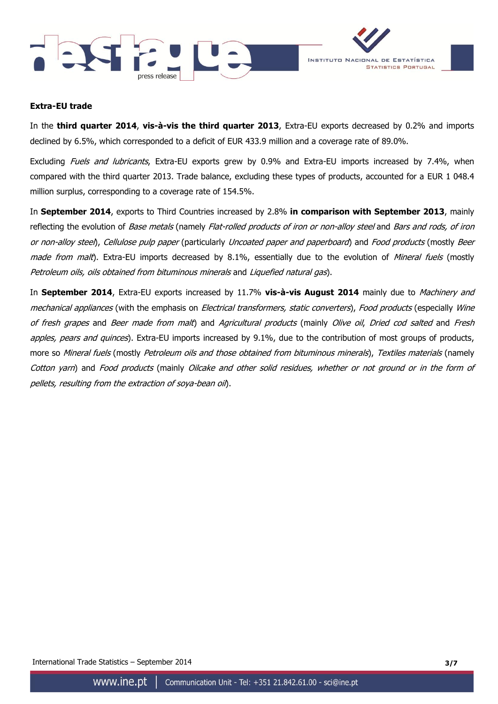



### **Extra-EU trade**

In the **third quarter 2014**, **vis-à-vis the third quarter 2013**, Extra-EU exports decreased by 0.2% and imports declined by 6.5%, which corresponded to a deficit of EUR 433.9 million and a coverage rate of 89.0%.

Excluding Fuels and lubricants, Extra-EU exports grew by 0.9% and Extra-EU imports increased by 7.4%, when compared with the third quarter 2013. Trade balance, excluding these types of products, accounted for a EUR 1 048.4 million surplus, corresponding to a coverage rate of 154.5%.

In **September 2014**, exports to Third Countries increased by 2.8% **in comparison with September 2013**, mainly reflecting the evolution of Base metals (namely Flat-rolled products of iron or non-alloy steel and Bars and rods, of iron or non-alloy steel), Cellulose pulp paper (particularly Uncoated paper and paperboard) and Food products (mostly Beer made from malt). Extra-EU imports decreased by 8.1%, essentially due to the evolution of Mineral fuels (mostly Petroleum oils, oils obtained from bituminous minerals and Liquefied natural gas).

In **September 2014**, Extra-EU exports increased by 11.7% **vis-à-vis August 2014** mainly due to Machinery and mechanical appliances (with the emphasis on Electrical transformers, static converters), Food products (especially Wine of fresh grapes and Beer made from malt) and Agricultural products (mainly Olive oil, Dried cod salted and Fresh apples, pears and quinces). Extra-EU imports increased by 9.1%, due to the contribution of most groups of products, more so Mineral fuels (mostly Petroleum oils and those obtained from bituminous minerals), Textiles materials (namely Cotton yarn) and Food products (mainly Oilcake and other solid residues, whether or not ground or in the form of pellets, resulting from the extraction of soya-bean oil).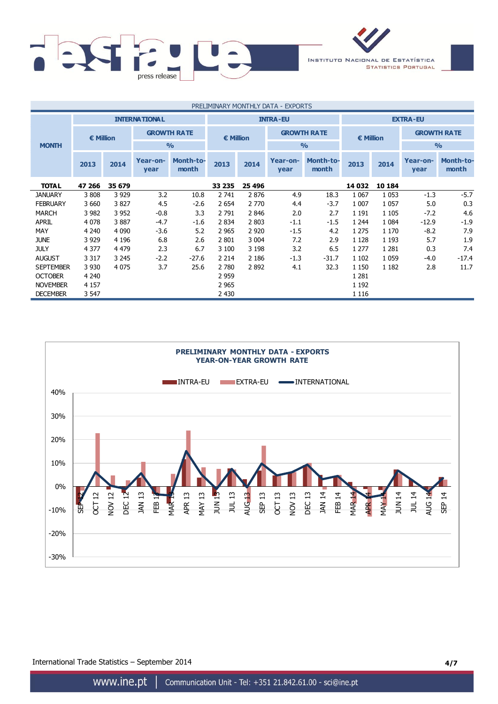

| PRELIMINARY MONTHLY DATA - EXPORTS |         |                                         |                  |                           |                    |                 |                    |                           |                  |         |                    |                           |  |
|------------------------------------|---------|-----------------------------------------|------------------|---------------------------|--------------------|-----------------|--------------------|---------------------------|------------------|---------|--------------------|---------------------------|--|
|                                    |         | <b>INTERNATIONAL</b><br><b>INTRA-EU</b> |                  |                           |                    | <b>EXTRA-EU</b> |                    |                           |                  |         |                    |                           |  |
|                                    |         | <b>GROWTH RATE</b><br>€ Million         |                  |                           | $\epsilon$ Million |                 | <b>GROWTH RATE</b> |                           | <b>€ Million</b> |         | <b>GROWTH RATE</b> |                           |  |
| <b>MONTH</b>                       |         |                                         |                  | $\frac{0}{0}$             |                    |                 |                    | $\frac{0}{0}$             |                  |         |                    | $\frac{9}{0}$             |  |
|                                    | 2013    | 2014                                    | Year-on-<br>year | <b>Month-to-</b><br>month | 2013               | 2014            | Year-on-<br>year   | <b>Month-to-</b><br>month | 2013             | 2014    | Year-on-<br>year   | <b>Month-to-</b><br>month |  |
| <b>TOTAL</b>                       | 47 266  | 35 679                                  |                  |                           | 33 235             | 25 4 96         |                    |                           | 14 032           | 10 184  |                    |                           |  |
| <b>JANUARY</b>                     | 3808    | 3 9 2 9                                 | 3.2              | 10.8                      | 2 741              | 2876            | 4.9                | 18.3                      | 1 0 6 7          | 1 0 5 3 | $-1.3$             | $-5.7$                    |  |
| <b>FEBRUARY</b>                    | 3 6 6 0 | 3827                                    | 4.5              | $-2.6$                    | 2 6 5 4            | 2 7 7 0         | 4.4                | $-3.7$                    | 1 0 0 7          | 1 0 5 7 | 5.0                | 0.3                       |  |
| <b>MARCH</b>                       | 3 9 8 2 | 3 9 5 2                                 | $-0.8$           | 3.3                       | 2 7 9 1            | 2846            | 2.0                | 2.7                       | 1 1 9 1          | 1 1 0 5 | $-7.2$             | 4.6                       |  |
| <b>APRIL</b>                       | 4 0 7 8 | 3887                                    | $-4.7$           | $-1.6$                    | 2 8 3 4            | 2 8 0 3         | $-1.1$             | $-1.5$                    | 1 2 4 4          | 1 0 8 4 | $-12.9$            | $-1.9$                    |  |
| MAY                                | 4 2 4 0 | 4 0 9 0                                 | $-3.6$           | 5.2                       | 2 9 6 5            | 2 9 2 0         | $-1.5$             | 4.2                       | 1 2 7 5          | 1 1 7 0 | $-8.2$             | 7.9                       |  |
| <b>JUNE</b>                        | 3 9 2 9 | 4 1 9 6                                 | 6.8              | 2.6                       | 2 8 0 1            | 3 0 0 4         | 7.2                | 2.9                       | 1 1 2 8          | 1 1 9 3 | 5.7                | 1.9                       |  |
| <b>JULY</b>                        | 4 3 7 7 | 4 4 7 9                                 | 2.3              | 6.7                       | 3 100              | 3 1 9 8         | 3.2                | 6.5                       | 1 2 7 7          | 1 2 8 1 | 0.3                | 7.4                       |  |
| <b>AUGUST</b>                      | 3 3 1 7 | 3 2 4 5                                 | $-2.2$           | $-27.6$                   | 2 2 1 4            | 2 1 8 6         | $-1.3$             | $-31.7$                   | 1 1 0 2          | 1 0 5 9 | $-4.0$             | $-17.4$                   |  |
| <b>SEPTEMBER</b>                   | 3 9 3 0 | 4 0 7 5                                 | 3.7              | 25.6                      | 2 7 8 0            | 2892            | 4.1                | 32.3                      | 1 1 5 0          | 1 1 8 2 | 2.8                | 11.7                      |  |
| <b>OCTOBER</b>                     | 4 2 4 0 |                                         |                  |                           | 2 9 5 9            |                 |                    |                           | 1 2 8 1          |         |                    |                           |  |
| <b>NOVEMBER</b>                    | 4 1 5 7 |                                         |                  |                           | 2 9 6 5            |                 |                    |                           | 1 1 9 2          |         |                    |                           |  |
| <b>DECEMBER</b>                    | 3 5 4 7 |                                         |                  |                           | 2 4 3 0            |                 |                    |                           | 1 1 1 6          |         |                    |                           |  |



International Trade Statistics – September 2014 **4/7**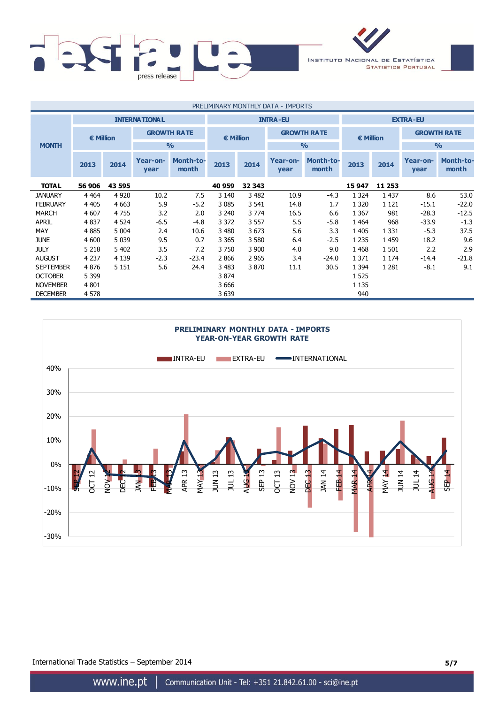

| PRELIMINARY MONTHLY DATA - IMPORTS |         |         |                                         |                           |           |         |                    |                           |           |         |                    |                           |
|------------------------------------|---------|---------|-----------------------------------------|---------------------------|-----------|---------|--------------------|---------------------------|-----------|---------|--------------------|---------------------------|
|                                    |         |         | <b>INTERNATIONAL</b><br><b>INTRA-EU</b> |                           |           |         | <b>EXTRA-EU</b>    |                           |           |         |                    |                           |
| € Million                          |         |         | <b>GROWTH RATE</b>                      |                           | € Million |         | <b>GROWTH RATE</b> |                           | € Million |         | <b>GROWTH RATE</b> |                           |
| <b>MONTH</b>                       |         |         |                                         | $\frac{0}{0}$             |           |         |                    | $\frac{0}{0}$             |           |         | $\frac{9}{0}$      |                           |
|                                    | 2013    | 2014    | Year-on-<br>year                        | <b>Month-to-</b><br>month | 2013      | 2014    | Year-on-<br>year   | <b>Month-to-</b><br>month | 2013      | 2014    | Year-on-<br>year   | <b>Month-to-</b><br>month |
| <b>TOTAL</b>                       | 56 906  | 43 595  |                                         |                           | 40 959    | 32 343  |                    |                           | 15 947    | 11 253  |                    |                           |
| <b>JANUARY</b>                     | 4 4 6 4 | 4 9 2 0 | 10.2                                    | 7.5                       | 3 1 4 0   | 3 4 8 2 | 10.9               | $-4.3$                    | 1 3 2 4   | 1 4 3 7 | 8.6                | 53.0                      |
| <b>FEBRUARY</b>                    | 4 4 0 5 | 4 6 63  | 5.9                                     | $-5.2$                    | 3 0 8 5   | 3 5 4 1 | 14.8               | 1.7                       | 1 3 2 0   | 1 1 2 1 | $-15.1$            | $-22.0$                   |
| <b>MARCH</b>                       | 4 607   | 4755    | 3.2                                     | 2.0                       | 3 2 4 0   | 3 7 7 4 | 16.5               | 6.6                       | 1 3 6 7   | 981     | $-28.3$            | $-12.5$                   |
| <b>APRIL</b>                       | 4 8 3 7 | 4 5 24  | $-6.5$                                  | $-4.8$                    | 3 3 7 2   | 3 5 5 7 | 5.5                | $-5.8$                    | 1 4 6 4   | 968     | $-33.9$            | $-1.3$                    |
| MAY                                | 4 8 8 5 | 5 0 0 4 | 2.4                                     | 10.6                      | 3 4 8 0   | 3 6 7 3 | 5.6                | 3.3                       | 1 4 0 5   | 1 3 3 1 | $-5.3$             | 37.5                      |
| <b>JUNE</b>                        | 4 600   | 5 0 3 9 | 9.5                                     | 0.7                       | 3 3 6 5   | 3 5 8 0 | 6.4                | $-2.5$                    | 1 2 3 5   | 1 4 5 9 | 18.2               | 9.6                       |
| <b>JULY</b>                        | 5 2 1 8 | 5 4 0 2 | 3.5                                     | 7.2                       | 3750      | 3 900   | 4.0                | 9.0                       | 1 4 6 8   | 1 501   | 2.2                | 2.9                       |
| <b>AUGUST</b>                      | 4 2 3 7 | 4 1 3 9 | $-2.3$                                  | $-23.4$                   | 2866      | 2 9 6 5 | 3.4                | $-24.0$                   | 1 3 7 1   | 1 1 7 4 | $-14.4$            | $-21.8$                   |
| <b>SEPTEMBER</b>                   | 4876    | 5 1 5 1 | 5.6                                     | 24.4                      | 3 4 8 3   | 3 8 7 0 | 11.1               | 30.5                      | 1 3 9 4   | 1 2 8 1 | $-8.1$             | 9.1                       |
| <b>OCTOBER</b>                     | 5 3 9 9 |         |                                         |                           | 3 874     |         |                    |                           | 1 5 2 5   |         |                    |                           |
| <b>NOVEMBER</b>                    | 4 8 0 1 |         |                                         |                           | 3 6 6 6   |         |                    |                           | 1 1 3 5   |         |                    |                           |
| <b>DECEMBER</b>                    | 4 5 7 8 |         |                                         |                           | 3 6 3 9   |         |                    |                           | 940       |         |                    |                           |



International Trade Statistics – September 2014 **5/7**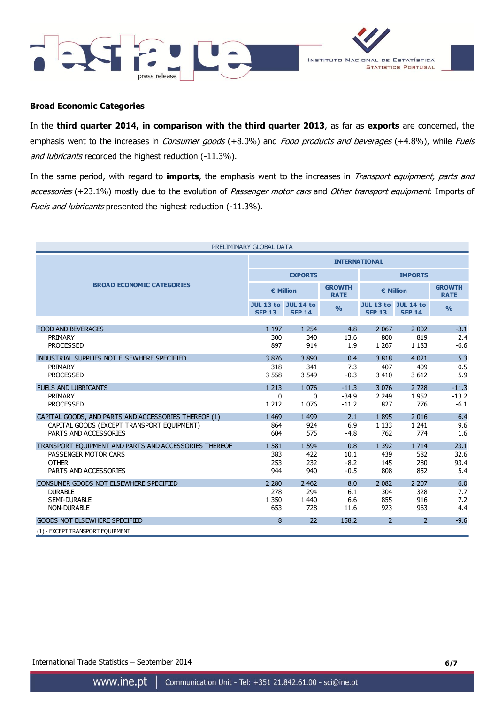



## **Broad Economic Categories**

In the **third quarter 2014, in comparison with the third quarter 2013**, as far as **exports** are concerned, the emphasis went to the increases in Consumer goods (+8.0%) and Food products and beverages (+4.8%), while Fuels and lubricants recorded the highest reduction (-11.3%).

In the same period, with regard to **imports**, the emphasis went to the increases in Transport equipment, parts and accessories (+23.1%) mostly due to the evolution of Passenger motor cars and Other transport equipment. Imports of Fuels and lubricants presented the highest reduction (-11.3%).

| PRELIMINARY GLOBAL DATA                               |                                             |                |                              |                                             |                |                              |  |
|-------------------------------------------------------|---------------------------------------------|----------------|------------------------------|---------------------------------------------|----------------|------------------------------|--|
|                                                       | <b>INTERNATIONAL</b>                        |                |                              |                                             |                |                              |  |
|                                                       |                                             | <b>EXPORTS</b> |                              | <b>IMPORTS</b>                              |                |                              |  |
| <b>BROAD ECONOMIC CATEGORIES</b>                      | € Million                                   |                | <b>GROWTH</b><br><b>RATE</b> | € Million                                   |                | <b>GROWTH</b><br><b>RATE</b> |  |
|                                                       | <b>JUL 13 to JUL 14 to</b><br><b>SEP 13</b> | <b>SEP 14</b>  | $\frac{0}{0}$                | <b>JUL 13 to JUL 14 to</b><br><b>SEP 13</b> | <b>SEP 14</b>  | $\frac{0}{0}$                |  |
|                                                       |                                             |                |                              |                                             |                |                              |  |
| <b>FOOD AND BEVERAGES</b>                             | 1 1 9 7                                     | 1 2 5 4        | 4.8                          | 2 0 6 7                                     | 2 0 0 2        | $-3.1$<br>2.4                |  |
| PRIMARY<br><b>PROCESSED</b>                           | 300<br>897                                  | 340<br>914     | 13.6<br>1.9                  | 800<br>1 2 6 7                              | 819<br>1 1 8 3 | $-6.6$                       |  |
|                                                       |                                             |                |                              |                                             |                |                              |  |
| INDUSTRIAL SUPPLIES NOT ELSEWHERE SPECIFIED           | 3876                                        | 3890           | 0.4                          | 3818                                        | 4 0 2 1        | 5.3                          |  |
| PRIMARY                                               | 318                                         | 341            | 7.3                          | 407                                         | 409            | 0.5                          |  |
| <b>PROCESSED</b>                                      | 3 5 5 8                                     | 3 5 4 9        | $-0.3$                       | 3 4 1 0                                     | 3 6 1 2        | 5.9                          |  |
| <b>FUELS AND LUBRICANTS</b>                           | 1 2 1 3                                     | 1 0 7 6        | $-11.3$                      | 3 0 7 6                                     | 2 7 2 8        | $-11.3$                      |  |
| PRIMARY                                               | 0                                           | $\mathbf{0}$   | $-34.9$                      | 2 2 4 9                                     | 1952           | $-13.2$                      |  |
| <b>PROCESSED</b>                                      | 1 2 1 2                                     | 1 0 7 6        | $-11.2$                      | 827                                         | 776            | $-6.1$                       |  |
| CAPITAL GOODS, AND PARTS AND ACCESSORIES THEREOF (1)  | 1 4 6 9                                     | 1 4 9 9        | 2.1                          | 1895                                        | 2 0 1 6        | 6.4                          |  |
| CAPITAL GOODS (EXCEPT TRANSPORT EQUIPMENT)            | 864                                         | 924            | 6.9                          | 1 1 3 3                                     | 1 2 4 1        | 9.6                          |  |
| PARTS AND ACCESSORIES                                 | 604                                         | 575            | $-4.8$                       | 762                                         | 774            | 1.6                          |  |
| TRANSPORT EOUIPMENT AND PARTS AND ACCESSORIES THEREOF | 1581                                        | 1 5 9 4        | 0.8                          | 1 3 9 2                                     | 1 7 1 4        | 23.1                         |  |
| PASSENGER MOTOR CARS                                  | 383                                         | 422            | 10.1                         | 439                                         | 582            | 32.6                         |  |
| <b>OTHER</b>                                          | 253                                         | 232            | $-8.2$                       | 145                                         | 280            | 93.4                         |  |
| PARTS AND ACCESSORIES                                 | 944                                         | 940            | $-0.5$                       | 808                                         | 852            | 5.4                          |  |
| CONSUMER GOODS NOT ELSEWHERE SPECIFIED                | 2 2 8 0                                     | 2 4 6 2        | 8.0                          | 2 0 8 2                                     | 2 2 0 7        | 6.0                          |  |
| <b>DURABLE</b>                                        | 278                                         | 294            | 6.1                          | 304                                         | 328            | 7.7                          |  |
| <b>SEMI-DURABLE</b>                                   | 1 3 5 0                                     | 1 4 4 0        | 6.6                          | 855                                         | 916            | 7.2                          |  |
| <b>NON-DURABLE</b>                                    | 653                                         | 728            | 11.6                         | 923                                         | 963            | 4.4                          |  |
| <b>GOODS NOT ELSEWHERE SPECIFIED</b>                  | 8                                           | 22             | 158.2                        | $\overline{2}$                              | $\mathcal{P}$  | $-9.6$                       |  |
| (1) - EXCEPT TRANSPORT EQUIPMENT                      |                                             |                |                              |                                             |                |                              |  |